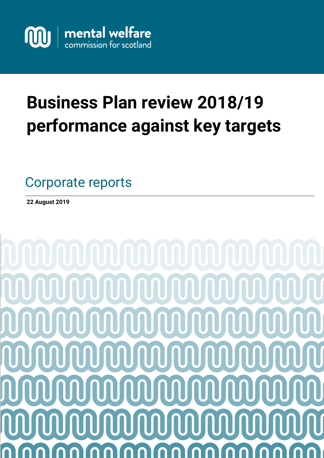

# **Business Plan review 2018/19 performance against key targets**

Good practice guide Advice notes Investigations Service users and carers information Corporate reports

**22 August 2019**

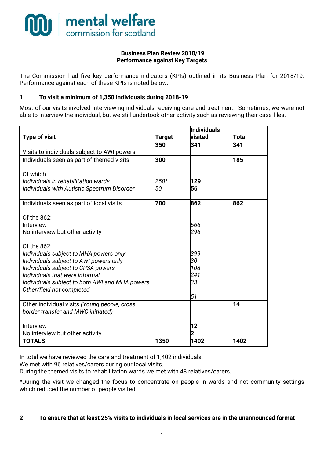

#### **Business Plan Review 2018/19 Performance against Key Targets**

The Commission had five key performance indicators (KPIs) outlined in its Business Plan for 2018/19. Performance against each of these KPIs is noted below.

#### **1 To visit a minimum of 1,350 individuals during 2018-19**

Most of our visits involved interviewing individuals receiving care and treatment. Sometimes, we were not able to interview the individual, but we still undertook other activity such as reviewing their case files.

|                                                    |               | <b>Individuals</b> |       |
|----------------------------------------------------|---------------|--------------------|-------|
| <b>Type of visit</b>                               | <b>Target</b> | visited            | Total |
|                                                    | 350           | 341                | 341   |
| Visits to individuals subject to AWI powers        |               |                    |       |
| Individuals seen as part of themed visits          | 300           |                    | 185   |
| Of which                                           |               |                    |       |
| Individuals in rehabilitation wards                |               | 129                |       |
|                                                    | 250*          |                    |       |
| <b>Individuals with Autistic Spectrum Disorder</b> | 50            | 56                 |       |
| Individuals seen as part of local visits           | 700           | 862                | 862   |
|                                                    |               |                    |       |
| Of the 862:                                        |               |                    |       |
| Interview                                          |               | 566                |       |
| No interview but other activity                    |               | 296                |       |
| Of the 862:                                        |               |                    |       |
| Individuals subject to MHA powers only             |               | 399                |       |
| Individuals subject to AWI powers only             |               | 30                 |       |
| Individuals subject to CPSA powers                 |               | 108                |       |
| Individuals that were informal                     |               | 241                |       |
| Individuals subject to both AWI and MHA powers     |               | 33                 |       |
| Other/field not completed                          |               |                    |       |
|                                                    |               | 51                 |       |
| Other individual visits (Young people, cross       |               |                    | 14    |
| border transfer and MWC initiated)                 |               |                    |       |
| Interview                                          |               | 12                 |       |
| No interview but other activity                    |               |                    |       |
| <b>TOTALS</b>                                      | 1350          | 1402               | 1402  |
|                                                    |               |                    |       |

In total we have reviewed the care and treatment of 1,402 individuals.

We met with 96 relatives/carers during our local visits.

During the themed visits to rehabilitation wards we met with 48 relatives/carers.

\*During the visit we changed the focus to concentrate on people in wards and not community settings which reduced the number of people visited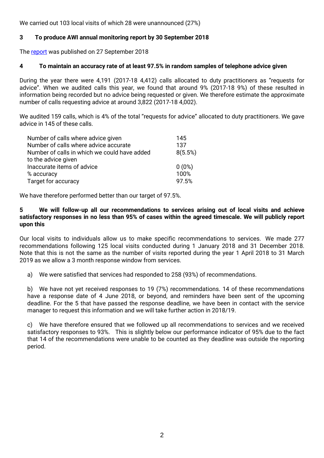We carried out 103 local visits of which 28 were unannounced (27%)

## **3 To produce AWI annual monitoring report by 30 September 2018**

The [report](https://www.mwcscot.org.uk/media/433118/10.09.2018_2017-18_awi_monitoring_report_0709_with_appendix_b.pdf) was published on 27 September 2018

#### **4 To maintain an accuracy rate of at least 97.5% in random samples of telephone advice given**

During the year there were 4,191 (2017-18 4,412) calls allocated to duty practitioners as "requests for advice". When we audited calls this year, we found that around 9% (2017-18 9%) of these resulted in information being recorded but no advice being requested or given. We therefore estimate the approximate number of calls requesting advice at around 3,822 (2017-18 4,002).

We audited 159 calls, which is 4% of the total "requests for advice" allocated to duty practitioners. We gave advice in 145 of these calls.

| Number of calls where advice given           | 145      |
|----------------------------------------------|----------|
| Number of calls where advice accurate        | 137      |
| Number of calls in which we could have added | 8(5.5%)  |
| to the advice given                          |          |
| Inaccurate items of advice                   | $0(0\%)$ |
| % accuracy                                   | 100%     |
| Target for accuracy                          | 97.5%    |

We have therefore performed better than our target of 97.5%.

#### **5 We will follow-up all our recommendations to services arising out of local visits and achieve satisfactory responses in no less than 95% of cases within the agreed timescale. We will publicly report upon this**

Our local visits to individuals allow us to make specific recommendations to services. We made 277 recommendations following 125 local visits conducted during 1 January 2018 and 31 December 2018. Note that this is not the same as the number of visits reported during the year 1 April 2018 to 31 March 2019 as we allow a 3 month response window from services.

a) We were satisfied that services had responded to 258 (93%) of recommendations.

b) We have not yet received responses to 19 (7%) recommendations. 14 of these recommendations have a response date of 4 June 2018, or beyond, and reminders have been sent of the upcoming deadline. For the 5 that have passed the response deadline, we have been in contact with the service manager to request this information and we will take further action in 2018/19.

c) We have therefore ensured that we followed up all recommendations to services and we received satisfactory responses to 93%. This is slightly below our performance indicator of 95% due to the fact that 14 of the recommendations were unable to be counted as they deadline was outside the reporting period.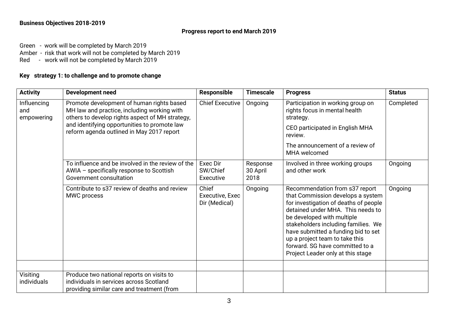## **Business Objectives 2018-2019**

#### **Progress report to end March 2019**

Green - work will be completed by March 2019 Amber - risk that work will not be completed by March 2019

Red - work will not be completed by March 2019

# **Key strategy 1: to challenge and to promote change**

| <b>Activity</b>                  | <b>Development need</b>                                                                                                                                                                                                                  | <b>Responsible</b>                        | <b>Timescale</b>             | <b>Progress</b>                                                                                                                                                                                                                                                                                                                                                         | <b>Status</b> |
|----------------------------------|------------------------------------------------------------------------------------------------------------------------------------------------------------------------------------------------------------------------------------------|-------------------------------------------|------------------------------|-------------------------------------------------------------------------------------------------------------------------------------------------------------------------------------------------------------------------------------------------------------------------------------------------------------------------------------------------------------------------|---------------|
| Influencing<br>and<br>empowering | Promote development of human rights based<br>MH law and practice, including working with<br>others to develop rights aspect of MH strategy,<br>and identifying opportunities to promote law<br>reform agenda outlined in May 2017 report | <b>Chief Executive</b>                    | Ongoing                      | Participation in working group on<br>rights focus in mental health<br>strategy.<br>CEO participated in English MHA<br>review.<br>The announcement of a review of<br>MHA welcomed                                                                                                                                                                                        | Completed     |
|                                  | To influence and be involved in the review of the<br>AWIA - specifically response to Scottish<br>Government consultation                                                                                                                 | Exec Dir<br>SW/Chief<br>Executive         | Response<br>30 April<br>2018 | Involved in three working groups<br>and other work                                                                                                                                                                                                                                                                                                                      | Ongoing       |
|                                  | Contribute to s37 review of deaths and review<br>MWC process                                                                                                                                                                             | Chief<br>Executive, Exec<br>Dir (Medical) | Ongoing                      | Recommendation from s37 report<br>that Commission develops a system<br>for investigation of deaths of people<br>detained under MHA. This needs to<br>be developed with multiple<br>stakeholders including families. We<br>have submitted a funding bid to set<br>up a project team to take this<br>forward. SG have committed to a<br>Project Leader only at this stage | Ongoing       |
| Visiting                         | Produce two national reports on visits to                                                                                                                                                                                                |                                           |                              |                                                                                                                                                                                                                                                                                                                                                                         |               |
| individuals                      | individuals in services across Scotland<br>providing similar care and treatment (from                                                                                                                                                    |                                           |                              |                                                                                                                                                                                                                                                                                                                                                                         |               |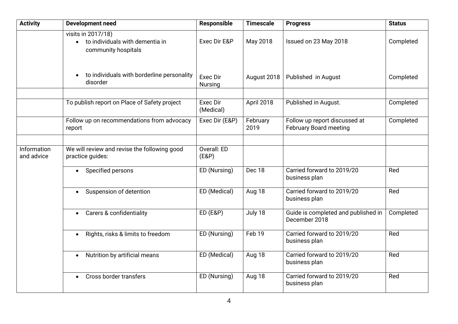| <b>Activity</b>           | <b>Development need</b>                                                                   | <b>Responsible</b>           | <b>Timescale</b> | <b>Progress</b>                                                | <b>Status</b> |
|---------------------------|-------------------------------------------------------------------------------------------|------------------------------|------------------|----------------------------------------------------------------|---------------|
|                           | visits in 2017/18)<br>to individuals with dementia in<br>$\bullet$<br>community hospitals | Exec Dir E&P                 | May 2018         | Issued on 23 May 2018                                          | Completed     |
|                           | to individuals with borderline personality<br>disorder                                    | Exec Dir<br><b>Nursing</b>   | August 2018      | Published in August                                            | Completed     |
|                           | To publish report on Place of Safety project                                              | <b>Exec Dir</b><br>(Medical) | April 2018       | Published in August.                                           | Completed     |
|                           | Follow up on recommendations from advocacy<br>report                                      | Exec Dir (E&P)               | February<br>2019 | Follow up report discussed at<br><b>February Board meeting</b> | Completed     |
| Information<br>and advice | We will review and revise the following good<br>practice guides:                          | Overall: ED<br>(EBP)         |                  |                                                                |               |
|                           | Specified persons<br>$\bullet$                                                            | ED (Nursing)                 | Dec 18           | Carried forward to 2019/20<br>business plan                    | Red           |
|                           | Suspension of detention<br>$\bullet$                                                      | ED (Medical)                 | Aug 18           | Carried forward to 2019/20<br>business plan                    | Red           |
|                           | Carers & confidentiality                                                                  | <b>ED (E&amp;P)</b>          | July 18          | Guide is completed and published in<br>December 2018           | Completed     |
|                           | Rights, risks & limits to freedom<br>$\bullet$                                            | ED (Nursing)                 | Feb 19           | Carried forward to 2019/20<br>business plan                    | Red           |
|                           | Nutrition by artificial means<br>$\bullet$                                                | ED (Medical)                 | Aug 18           | Carried forward to 2019/20<br>business plan                    | Red           |
|                           | Cross border transfers<br>$\bullet$                                                       | ED (Nursing)                 | Aug 18           | Carried forward to 2019/20<br>business plan                    | Red           |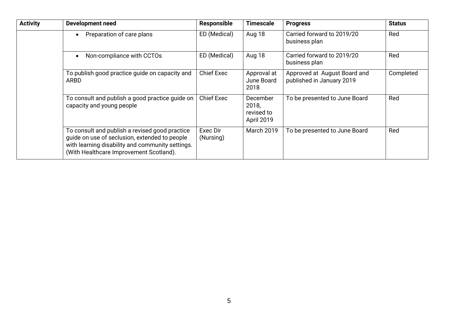| <b>Activity</b> | <b>Development need</b>                                                                                                                                                                        | <b>Responsible</b>    | <b>Timescale</b>                              | <b>Progress</b>                                           | <b>Status</b> |
|-----------------|------------------------------------------------------------------------------------------------------------------------------------------------------------------------------------------------|-----------------------|-----------------------------------------------|-----------------------------------------------------------|---------------|
|                 | Preparation of care plans                                                                                                                                                                      | ED (Medical)          | Aug 18                                        | Carried forward to 2019/20<br>business plan               | Red           |
|                 | Non-compliance with CCTOs                                                                                                                                                                      | ED (Medical)          | Aug 18                                        | Carried forward to 2019/20<br>business plan               | Red           |
|                 | To publish good practice guide on capacity and<br>ARBD                                                                                                                                         | <b>Chief Exec</b>     | Approval at<br>June Board<br>2018             | Approved at August Board and<br>published in January 2019 | Completed     |
|                 | To consult and publish a good practice guide on<br>capacity and young people                                                                                                                   | <b>Chief Exec</b>     | December<br>2018,<br>revised to<br>April 2019 | To be presented to June Board                             | Red           |
|                 | To consult and publish a revised good practice<br>guide on use of seclusion, extended to people<br>with learning disability and community settings.<br>(With Healthcare Improvement Scotland). | Exec Dir<br>(Nursing) | <b>March 2019</b>                             | To be presented to June Board                             | Red           |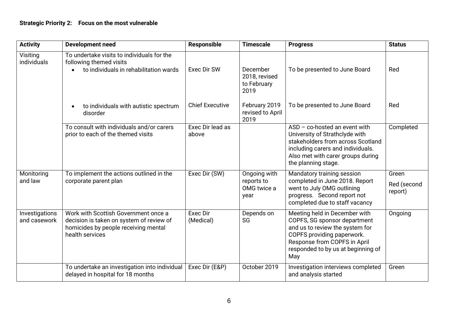# **Strategic Priority 2: Focus on the most vulnerable**

| <b>Activity</b>                | <b>Development need</b>                                                                                                                     | Responsible               | <b>Timescale</b>                                  | <b>Progress</b>                                                                                                                                                                                             | <b>Status</b>                   |
|--------------------------------|---------------------------------------------------------------------------------------------------------------------------------------------|---------------------------|---------------------------------------------------|-------------------------------------------------------------------------------------------------------------------------------------------------------------------------------------------------------------|---------------------------------|
| Visiting<br>individuals        | To undertake visits to individuals for the<br>following themed visits<br>to individuals in rehabilitation wards                             | Exec Dir SW               | December<br>2018, revised                         | To be presented to June Board                                                                                                                                                                               | Red                             |
|                                |                                                                                                                                             |                           | to February<br>2019                               |                                                                                                                                                                                                             |                                 |
|                                | to individuals with autistic spectrum<br>$\bullet$<br>disorder                                                                              | <b>Chief Executive</b>    | February 2019<br>revised to April<br>2019         | To be presented to June Board                                                                                                                                                                               | Red                             |
|                                | To consult with individuals and/or carers<br>prior to each of the themed visits                                                             | Exec Dir lead as<br>above |                                                   | $ASD - co$ -hosted an event with<br>University of Strathclyde with<br>stakeholders from across Scotland<br>including carers and individuals.<br>Also met with carer groups during<br>the planning stage.    | Completed                       |
| Monitoring<br>and law          | To implement the actions outlined in the<br>corporate parent plan                                                                           | Exec Dir (SW)             | Ongoing with<br>reports to<br>OMG twice a<br>year | Mandatory training session<br>completed in June 2018. Report<br>went to July OMG outlining<br>progress. Second report not<br>completed due to staff vacancy                                                 | Green<br>Red (second<br>report) |
| Investigations<br>and casework | Work with Scottish Government once a<br>decision is taken on system of review of<br>homicides by people receiving mental<br>health services | Exec Dir<br>(Medical)     | Depends on<br>SG                                  | Meeting held in December with<br>COPFS, SG sponsor department<br>and us to review the system for<br>COPFS providing paperwork.<br>Response from COPFS in April<br>responded to by us at beginning of<br>May | Ongoing                         |
|                                | To undertake an investigation into individual<br>delayed in hospital for 18 months                                                          | Exec Dir (E&P)            | October 2019                                      | Investigation interviews completed<br>and analysis started                                                                                                                                                  | Green                           |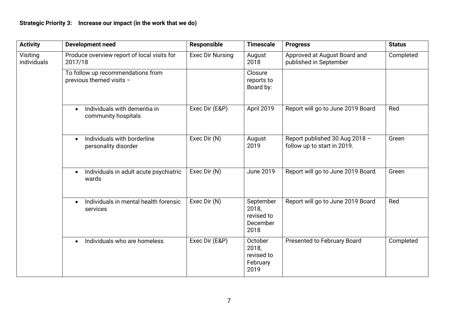| <b>Activity</b>         | <b>Development need</b>                                          | Responsible      | <b>Timescale</b>                                     | <b>Progress</b>                                               | <b>Status</b> |
|-------------------------|------------------------------------------------------------------|------------------|------------------------------------------------------|---------------------------------------------------------------|---------------|
| Visiting<br>individuals | Produce overview report of local visits for<br>2017/18           | Exec Dir Nursing | August<br>2018                                       | Approved at August Board and<br>published in September        | Completed     |
|                         | To follow up recommendations from<br>previous themed visits -    |                  | Closure<br>reports to<br>Board by:                   |                                                               |               |
|                         | Individuals with dementia in<br>$\bullet$<br>community hospitals | Exec Dir (E&P)   | April 2019                                           | Report will go to June 2019 Board                             | Red           |
|                         | Individuals with borderline<br>$\bullet$<br>personality disorder | Exec Dir (N)     | August<br>2019                                       | Report published 30 Aug 2018 -<br>follow up to start in 2019. | Green         |
|                         | Individuals in adult acute psychiatric<br>$\bullet$<br>wards     | Exec Dir (N)     | <b>June 2019</b>                                     | Report will go to June 2019 Board.                            | Green         |
|                         | Individuals in mental health forensic<br>$\bullet$<br>services   | Exec Dir (N)     | September<br>2018,<br>revised to<br>December<br>2018 | Report will go to June 2019 Board                             | Red           |
|                         | Individuals who are homeless<br>$\bullet$                        | Exec Dir (E&P)   | October<br>2018,<br>revised to<br>February<br>2019   | <b>Presented to February Board</b>                            | Completed     |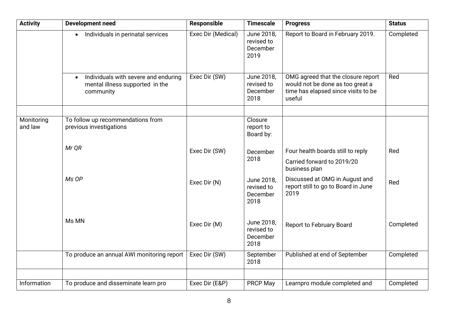| <b>Activity</b>       | <b>Development need</b>                                                                           | <b>Responsible</b> | <b>Timescale</b>                             | <b>Progress</b>                                                                                                         | <b>Status</b> |
|-----------------------|---------------------------------------------------------------------------------------------------|--------------------|----------------------------------------------|-------------------------------------------------------------------------------------------------------------------------|---------------|
|                       | Individuals in perinatal services<br>$\bullet$                                                    | Exec Dir (Medical) | June 2018,<br>revised to<br>December<br>2019 | Report to Board in February 2019.                                                                                       | Completed     |
|                       | Individuals with severe and enduring<br>$\bullet$<br>mental illness supported in the<br>community | Exec Dir (SW)      | June 2018,<br>revised to<br>December<br>2018 | OMG agreed that the closure report<br>would not be done as too great a<br>time has elapsed since visits to be<br>useful | Red           |
|                       |                                                                                                   |                    |                                              |                                                                                                                         |               |
| Monitoring<br>and law | To follow up recommendations from<br>previous investigations                                      |                    | Closure<br>report to<br>Board by:            |                                                                                                                         |               |
|                       | Mr QR                                                                                             | Exec Dir (SW)      | December<br>2018                             | Four health boards still to reply<br>Carried forward to 2019/20<br>business plan                                        | Red           |
|                       | Ms OP                                                                                             | Exec Dir (N)       | June 2018,<br>revised to<br>December<br>2018 | Discussed at OMG in August and<br>report still to go to Board in June<br>2019                                           | Red           |
|                       | Ms MN                                                                                             | Exec Dir (M)       | June 2018,<br>revised to<br>December<br>2018 | <b>Report to February Board</b>                                                                                         | Completed     |
|                       | To produce an annual AWI monitoring report                                                        | Exec Dir (SW)      | September<br>2018                            | Published at end of September                                                                                           | Completed     |
|                       |                                                                                                   |                    |                                              |                                                                                                                         |               |
| Information           | To produce and disseminate learn pro                                                              | Exec Dir (E&P)     | <b>PRCP May</b>                              | Learnpro module completed and                                                                                           | Completed     |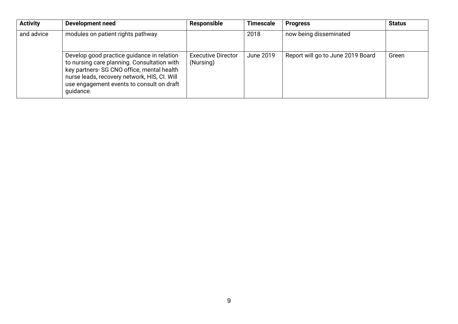| <b>Activity</b> | Development need                                                                                                                                                                                                                                  | <b>Responsible</b>                     | <b>Timescale</b> | <b>Progress</b>                   | <b>Status</b> |
|-----------------|---------------------------------------------------------------------------------------------------------------------------------------------------------------------------------------------------------------------------------------------------|----------------------------------------|------------------|-----------------------------------|---------------|
| and advice      | modules on patient rights pathway                                                                                                                                                                                                                 |                                        | 2018             | now being disseminated            |               |
|                 | Develop good practice guidance in relation<br>to nursing care planning. Consultation with<br>key partners- SG CNO office, mental health<br>nurse leads, recovery network, HIS, CI. Will<br>use engagement events to consult on draft<br>quidance. | <b>Executive Director</b><br>(Nursing) | June 2019        | Report will go to June 2019 Board | Green         |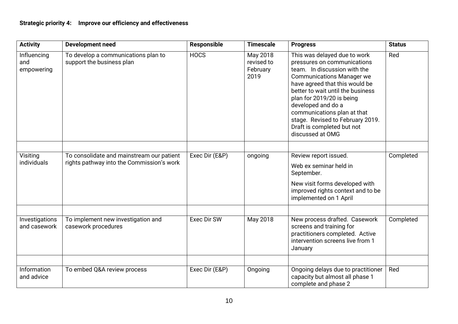| <b>Activity</b>                  | <b>Development need</b>                                                                | Responsible    | <b>Timescale</b>                           | <b>Progress</b>                                                                                                                                                                                                                                                                                                                                                                | <b>Status</b> |
|----------------------------------|----------------------------------------------------------------------------------------|----------------|--------------------------------------------|--------------------------------------------------------------------------------------------------------------------------------------------------------------------------------------------------------------------------------------------------------------------------------------------------------------------------------------------------------------------------------|---------------|
| Influencing<br>and<br>empowering | To develop a communications plan to<br>support the business plan                       | <b>HOCS</b>    | May 2018<br>revised to<br>February<br>2019 | This was delayed due to work<br>pressures on communications<br>team. In discussion with the<br><b>Communications Manager we</b><br>have agreed that this would be<br>better to wait until the business<br>plan for 2019/20 is being<br>developed and do a<br>communications plan at that<br>stage. Revised to February 2019.<br>Draft is completed but not<br>discussed at OMG | Red           |
|                                  |                                                                                        |                |                                            |                                                                                                                                                                                                                                                                                                                                                                                |               |
| Visiting<br>individuals          | To consolidate and mainstream our patient<br>rights pathway into the Commission's work | Exec Dir (E&P) | ongoing                                    | Review report issued.<br>Web ex seminar held in<br>September.<br>New visit forms developed with<br>improved rights context and to be<br>implemented on 1 April                                                                                                                                                                                                                 | Completed     |
| Investigations<br>and casework   | To implement new investigation and<br>casework procedures                              | Exec Dir SW    | May 2018                                   | New process drafted. Casework<br>screens and training for<br>practitioners completed. Active<br>intervention screens live from 1<br>January                                                                                                                                                                                                                                    | Completed     |
|                                  |                                                                                        |                |                                            |                                                                                                                                                                                                                                                                                                                                                                                |               |
| Information<br>and advice        | To embed Q&A review process                                                            | Exec Dir (E&P) | Ongoing                                    | Ongoing delays due to practitioner<br>capacity but almost all phase 1<br>complete and phase 2                                                                                                                                                                                                                                                                                  | Red           |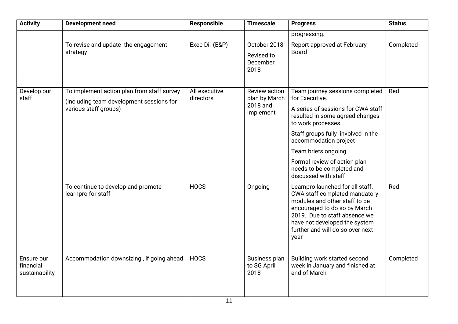| <b>Activity</b>                           | <b>Development need</b>                                                                | Responsible                | <b>Timescale</b>                                                                  | <b>Progress</b>                                                                                                                                                                                                                                  | <b>Status</b> |
|-------------------------------------------|----------------------------------------------------------------------------------------|----------------------------|-----------------------------------------------------------------------------------|--------------------------------------------------------------------------------------------------------------------------------------------------------------------------------------------------------------------------------------------------|---------------|
|                                           |                                                                                        |                            |                                                                                   | progressing.                                                                                                                                                                                                                                     |               |
|                                           | To revise and update the engagement                                                    | Exec Dir (E&P)             | October 2018                                                                      | Report approved at February                                                                                                                                                                                                                      | Completed     |
|                                           | strategy                                                                               |                            | Revised to<br>December<br>2018                                                    | <b>Board</b>                                                                                                                                                                                                                                     |               |
|                                           |                                                                                        |                            |                                                                                   |                                                                                                                                                                                                                                                  |               |
| Develop our<br>staff                      | To implement action plan from staff survey<br>(including team development sessions for | All executive<br>directors | Review action<br>plan by March                                                    | Team journey sessions completed<br>for Executive.                                                                                                                                                                                                | Red           |
|                                           | various staff groups)                                                                  |                            | 2018 and<br>implement                                                             | A series of sessions for CWA staff<br>resulted in some agreed changes<br>to work processes.                                                                                                                                                      |               |
|                                           |                                                                                        |                            |                                                                                   | Staff groups fully involved in the<br>accommodation project                                                                                                                                                                                      |               |
|                                           |                                                                                        |                            |                                                                                   | Team briefs ongoing                                                                                                                                                                                                                              |               |
|                                           |                                                                                        |                            | Formal review of action plan<br>needs to be completed and<br>discussed with staff |                                                                                                                                                                                                                                                  |               |
|                                           | To continue to develop and promote<br>learnpro for staff                               | <b>HOCS</b>                | Ongoing                                                                           | Learnpro launched for all staff.<br>CWA staff completed mandatory<br>modules and other staff to be<br>encouraged to do so by March<br>2019. Due to staff absence we<br>have not developed the system<br>further and will do so over next<br>year | Red           |
|                                           |                                                                                        |                            |                                                                                   |                                                                                                                                                                                                                                                  |               |
| Ensure our<br>financial<br>sustainability | Accommodation downsizing, if going ahead                                               | <b>HOCS</b>                | <b>Business plan</b><br>to SG April<br>2018                                       | Building work started second<br>week in January and finished at<br>end of March                                                                                                                                                                  | Completed     |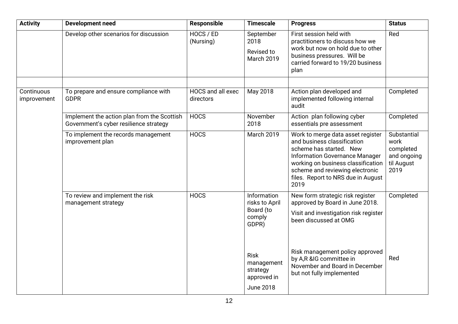| <b>Activity</b>           | <b>Development need</b>                                                               | Responsible                    | <b>Timescale</b>                                                         | <b>Progress</b>                                                                                                                                                                                                                                             | <b>Status</b>                                                         |
|---------------------------|---------------------------------------------------------------------------------------|--------------------------------|--------------------------------------------------------------------------|-------------------------------------------------------------------------------------------------------------------------------------------------------------------------------------------------------------------------------------------------------------|-----------------------------------------------------------------------|
|                           | Develop other scenarios for discussion                                                | HOCS / ED<br>(Nursing)         | September<br>2018<br>Revised to<br><b>March 2019</b>                     | First session held with<br>practitioners to discuss how we<br>work but now on hold due to other<br>business pressures. Will be<br>carried forward to 19/20 business<br>plan                                                                                 | Red                                                                   |
| Continuous<br>improvement | To prepare and ensure compliance with<br><b>GDPR</b>                                  | HOCS and all exec<br>directors | May 2018                                                                 | Action plan developed and<br>implemented following internal<br>audit                                                                                                                                                                                        | Completed                                                             |
|                           | Implement the action plan from the Scottish<br>Government's cyber resilience strategy | <b>HOCS</b>                    | November<br>2018                                                         | Action plan following cyber<br>essentials pre assessment                                                                                                                                                                                                    | Completed                                                             |
|                           | To implement the records management<br>improvement plan                               | <b>HOCS</b>                    | <b>March 2019</b>                                                        | Work to merge data asset register<br>and business classification<br>scheme has started. New<br><b>Information Governance Manager</b><br>working on business classification<br>scheme and reviewing electronic<br>files. Report to NRS due in August<br>2019 | Substantial<br>work<br>completed<br>and ongoing<br>til August<br>2019 |
|                           | To review and implement the risk<br>management strategy                               | <b>HOCS</b>                    | Information<br>risks to April<br>Board (to<br>comply<br>GDPR)            | New form strategic risk register<br>approved by Board in June 2018.<br>Visit and investigation risk register<br>been discussed at OMG                                                                                                                       | Completed                                                             |
|                           |                                                                                       |                                | <b>Risk</b><br>management<br>strategy<br>approved in<br><b>June 2018</b> | Risk management policy approved<br>by A,R &IG committee in<br>November and Board in December<br>but not fully implemented                                                                                                                                   | Red                                                                   |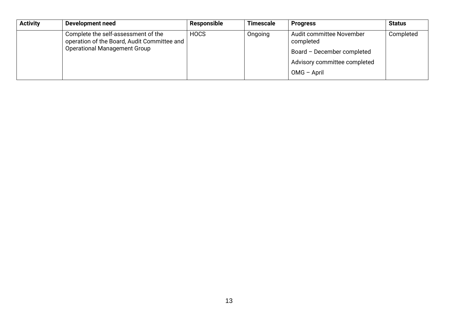| <b>Activity</b> | Development need                                                                   | Responsible | <b>Timescale</b> | <b>Progress</b>                       | <b>Status</b> |
|-----------------|------------------------------------------------------------------------------------|-------------|------------------|---------------------------------------|---------------|
|                 | Complete the self-assessment of the<br>operation of the Board, Audit Committee and | <b>HOCS</b> | Ongoing          | Audit committee November<br>completed | Completed     |
|                 | <b>Operational Management Group</b>                                                |             |                  | Board - December completed            |               |
|                 |                                                                                    |             |                  | Advisory committee completed          |               |
|                 |                                                                                    |             |                  | OMG - April                           |               |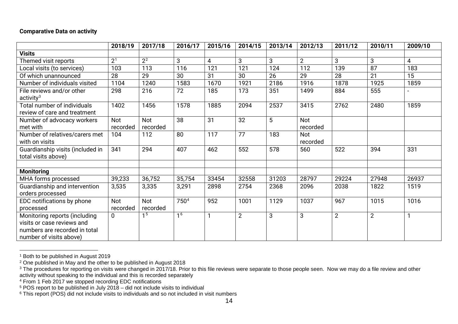#### <span id="page-14-5"></span><span id="page-14-4"></span><span id="page-14-3"></span><span id="page-14-2"></span><span id="page-14-1"></span><span id="page-14-0"></span>**Comparative Data on activity**

|                                                                                                                         | 2018/19                | 2017/18          | 2016/17        | 2015/16 | 2014/15        | 2013/14 | 2012/13         | 2011/12        | 2010/11        | 2009/10 |
|-------------------------------------------------------------------------------------------------------------------------|------------------------|------------------|----------------|---------|----------------|---------|-----------------|----------------|----------------|---------|
| <b>Visits</b>                                                                                                           |                        |                  |                |         |                |         |                 |                |                |         |
| Themed visit reports                                                                                                    | $\overline{2^1}$       | $\overline{2^2}$ | 3              | 4       | 3              | 3       | $\overline{2}$  | 3              | 3              | 4       |
| Local visits (to services)                                                                                              | 103                    | 113              | 116            | 121     | 121            | 124     | 112             | 139            | 87             | 183     |
| Of which unannounced                                                                                                    | 28                     | 29               | 30             | 31      | 30             | 26      | 29              | 28             | 21             | 15      |
| Number of individuals visited                                                                                           | 1104                   | 1240             | 1583           | 1670    | 1921           | 2186    | 1916            | 1878           | 1925           | 1859    |
| File reviews and/or other<br>$\arctivity3$                                                                              | 298                    | 216              | 72             | 185     | 173            | 351     | 1499            | 884            | 555            |         |
| <b>Total number of individuals</b><br>review of care and treatment                                                      | 1402                   | 1456             | 1578           | 1885    | 2094           | 2537    | 3415            | 2762           | 2480           | 1859    |
| Number of advocacy workers<br>met with                                                                                  | Not<br>recorded        | Not<br>recorded  | 38             | 31      | 32             | 5       | Not<br>recorded |                |                |         |
| Number of relatives/carers met<br>with on visits                                                                        | 104                    | 112              | 80             | 117     | 77             | 183     | Not<br>recorded |                |                |         |
| Guardianship visits (included in<br>total visits above)                                                                 | 341                    | 294              | 407            | 462     | 552            | 578     | 560             | 522            | 394            | 331     |
| <b>Monitoring</b>                                                                                                       |                        |                  |                |         |                |         |                 |                |                |         |
| MHA forms processed                                                                                                     | 39,233                 | 36,752           | 35,754         | 33454   | 32558          | 31203   | 28797           | 29224          | 27948          | 26937   |
| Guardianship and intervention<br>orders processed                                                                       | 3,535                  | 3,335            | 3,291          | 2898    | 2754           | 2368    | 2096            | 2038           | 1822           | 1519    |
| EDC notifications by phone<br>processed                                                                                 | <b>Not</b><br>recorded | Not<br>recorded  | 7504           | 952     | 1001           | 1129    | 1037            | 967            | 1015           | 1016    |
| Monitoring reports (including<br>visits or case reviews and<br>numbers are recorded in total<br>number of visits above) | 0                      | 1 <sub>5</sub>   | 1 <sup>6</sup> |         | $\overline{2}$ | 3       | 3               | $\overline{2}$ | $\overline{2}$ |         |

 <sup>1</sup> Both to be published in August 2019

 $^{\text{2}}$  One published in May and the other to be published in August 2018

 $^3$  The procedures for reporting on visits were changed in 2017/18. Prior to this file reviews were separate to those people seen. Now we may do a file review and other activity without speaking to the individual and this is recorded separately

<sup>&</sup>lt;sup>4</sup> From 1 Feb 2017 we stopped recording EDC notifications

<sup>5</sup> POS report to be published in July 2018 – did not include visits to individual

 $^6$  This report (POS) did not include visits to individuals and so not included in visit numbers